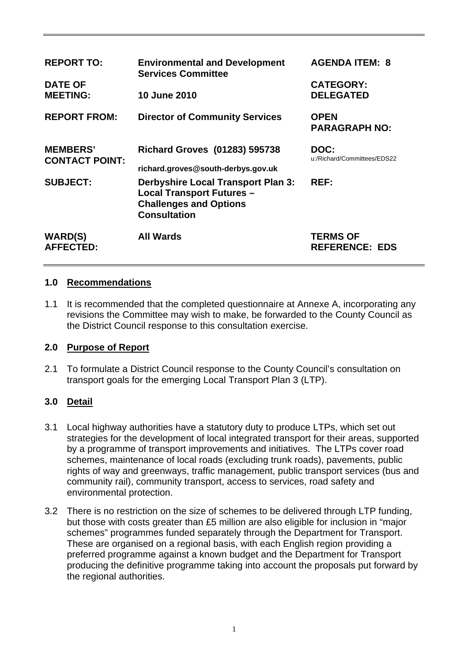| <b>REPORT TO:</b><br><b>DATE OF</b>      | <b>Environmental and Development</b><br><b>Services Committee</b>                                                                     | <b>AGENDA ITEM: 8</b><br><b>CATEGORY:</b> |
|------------------------------------------|---------------------------------------------------------------------------------------------------------------------------------------|-------------------------------------------|
| <b>MEETING:</b>                          | 10 June 2010                                                                                                                          | <b>DELEGATED</b>                          |
| <b>REPORT FROM:</b>                      | <b>Director of Community Services</b>                                                                                                 | <b>OPEN</b><br><b>PARAGRAPH NO:</b>       |
| <b>MEMBERS'</b><br><b>CONTACT POINT:</b> | <b>Richard Groves (01283) 595738</b><br>richard.groves@south-derbys.gov.uk                                                            | DOC:<br>u:/Richard/Committees/EDS22       |
| <b>SUBJECT:</b>                          | <b>Derbyshire Local Transport Plan 3:</b><br><b>Local Transport Futures -</b><br><b>Challenges and Options</b><br><b>Consultation</b> | REF:                                      |
| <b>WARD(S)</b><br><b>AFFECTED:</b>       | <b>All Wards</b>                                                                                                                      | <b>TERMS OF</b><br><b>REFERENCE: EDS</b>  |

### **1.0 Recommendations**

1.1 It is recommended that the completed questionnaire at Annexe A, incorporating any revisions the Committee may wish to make, be forwarded to the County Council as the District Council response to this consultation exercise.

## **2.0 Purpose of Report**

2.1 To formulate a District Council response to the County Council's consultation on transport goals for the emerging Local Transport Plan 3 (LTP).

## **3.0 Detail**

- 3.1 Local highway authorities have a statutory duty to produce LTPs, which set out strategies for the development of local integrated transport for their areas, supported by a programme of transport improvements and initiatives. The LTPs cover road schemes, maintenance of local roads (excluding trunk roads), pavements, public rights of way and greenways, traffic management, public transport services (bus and community rail), community transport, access to services, road safety and environmental protection.
- 3.2 There is no restriction on the size of schemes to be delivered through LTP funding, but those with costs greater than £5 million are also eligible for inclusion in "major schemes" programmes funded separately through the Department for Transport. These are organised on a regional basis, with each English region providing a preferred programme against a known budget and the Department for Transport producing the definitive programme taking into account the proposals put forward by the regional authorities.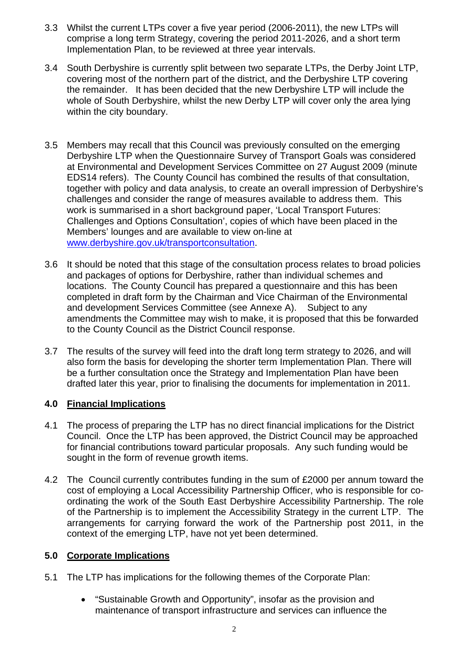- 3.3 Whilst the current LTPs cover a five year period (2006-2011), the new LTPs will comprise a long term Strategy, covering the period 2011-2026, and a short term Implementation Plan, to be reviewed at three year intervals.
- 3.4 South Derbyshire is currently split between two separate LTPs, the Derby Joint LTP, covering most of the northern part of the district, and the Derbyshire LTP covering the remainder. It has been decided that the new Derbyshire LTP will include the whole of South Derbyshire, whilst the new Derby LTP will cover only the area lying within the city boundary.
- 3.5 Members may recall that this Council was previously consulted on the emerging Derbyshire LTP when the Questionnaire Survey of Transport Goals was considered at Environmental and Development Services Committee on 27 August 2009 (minute EDS14 refers). The County Council has combined the results of that consultation, together with policy and data analysis, to create an overall impression of Derbyshire's challenges and consider the range of measures available to address them. This work is summarised in a short background paper, 'Local Transport Futures: Challenges and Options Consultation', copies of which have been placed in the Members' lounges and are available to view on-line at [www.derbyshire.gov.uk/transportconsultation.](http://www.derbyshire.gov.uk/transportconsultation)
- 3.6 It should be noted that this stage of the consultation process relates to broad policies and packages of options for Derbyshire, rather than individual schemes and locations. The County Council has prepared a questionnaire and this has been completed in draft form by the Chairman and Vice Chairman of the Environmental and development Services Committee (see Annexe A). Subject to any amendments the Committee may wish to make, it is proposed that this be forwarded to the County Council as the District Council response.
- 3.7 The results of the survey will feed into the draft long term strategy to 2026, and will also form the basis for developing the shorter term Implementation Plan. There will be a further consultation once the Strategy and Implementation Plan have been drafted later this year, prior to finalising the documents for implementation in 2011.

## **4.0 Financial Implications**

- 4.1 The process of preparing the LTP has no direct financial implications for the District Council. Once the LTP has been approved, the District Council may be approached for financial contributions toward particular proposals. Any such funding would be sought in the form of revenue growth items.
- 4.2 The Council currently contributes funding in the sum of £2000 per annum toward the cost of employing a Local Accessibility Partnership Officer, who is responsible for coordinating the work of the South East Derbyshire Accessibility Partnership. The role of the Partnership is to implement the Accessibility Strategy in the current LTP. The arrangements for carrying forward the work of the Partnership post 2011, in the context of the emerging LTP, have not yet been determined.

## **5.0 Corporate Implications**

- 5.1 The LTP has implications for the following themes of the Corporate Plan:
	- "Sustainable Growth and Opportunity", insofar as the provision and maintenance of transport infrastructure and services can influence the